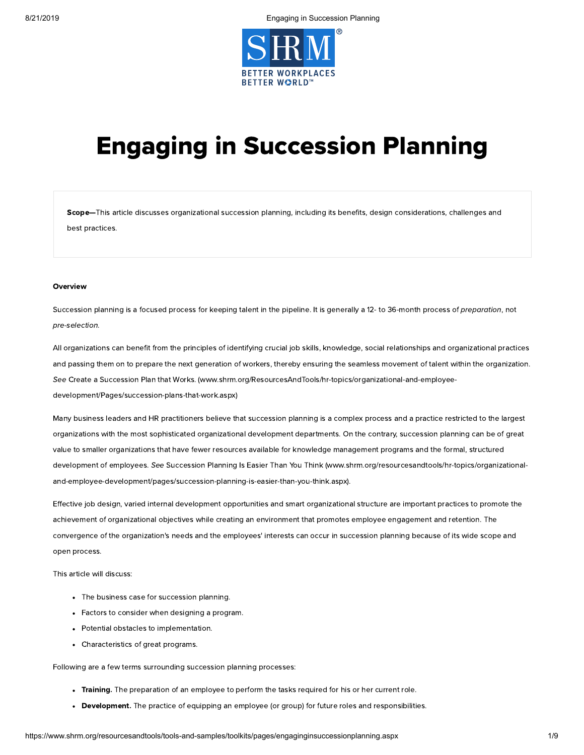

# Engaging in Succession Planning

Scope-This article discusses organizational succession planning, including its benefits, design considerations, challenges and best practices.

#### **Overview**

Succession planning is a focused process for keeping talent in the pipeline. It is generally a 12- to 36-month process of preparation, not pre-selection.

All organizations can benefit from the principles of identifying crucial job skills, knowledge, social relationships and organizational practices and passing them on to prepare the next generation of workers, thereby ensuring the seamless movement of talent within the organization. See Create a Succession Plan that Works. [\(www.shrm.org/ResourcesAndTools/hr-topics/organizational-and-employee](https://www.shrm.org/ResourcesAndTools/hr-topics/organizational-and-employee-development/Pages/succession-plans-that-work.aspx)development/Pages/succession-plans-that-work.aspx)

Many business leaders and HR practitioners believe that succession planning is a complex process and a practice restricted to the largest organizations with the most sophisticated organizational development departments. On the contrary, succession planning can be of great value to smaller organizations that have fewer resources available for knowledge management programs and the formal, structured development of employees. See Succession Planning Is Easier Than You Think (www.shrm.org/resourcesandtools/hr-topics/organizational[and-employee-development/pages/succession-planning-is-easier-than-you-think.aspx\).](https://www.shrm.org/resourcesandtools/hr-topics/organizational-and-employee-development/pages/succession-planning-is-easier-than-you-think.aspx)

Effective job design, varied internal development opportunities and smart organizational structure are important practices to promote the achievement of organizational objectives while creating an environment that promotes employee engagement and retention. The convergence of the organization's needs and the employees' interests can occur in succession planning because of its wide scope and open process.

This article will discuss:

- The business case for succession planning.
- Factors to consider when designing a program.
- Potential obstacles to implementation.
- Characteristics of great programs.

Following are a few terms surrounding succession planning processes:

- Training. The preparation of an employee to perform the tasks required for his or her current role.
- Development. The practice of equipping an employee (or group) for future roles and responsibilities.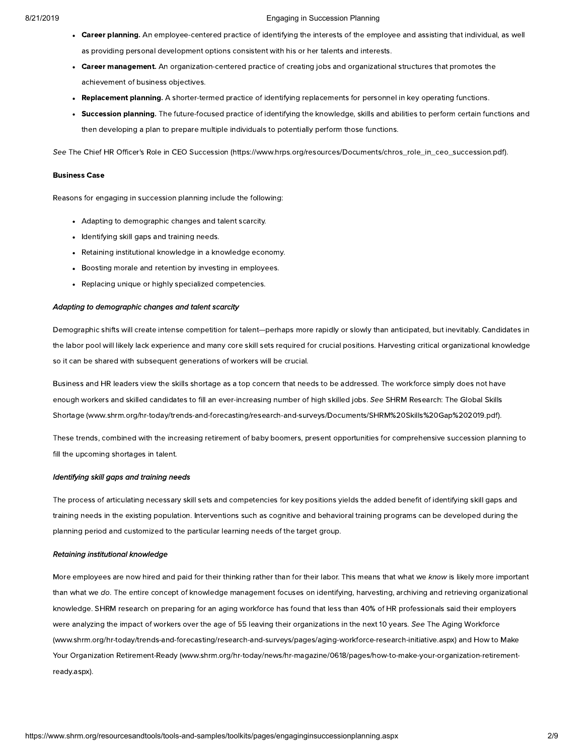- Career planning. An employee-centered practice of identifying the interests of the employee and assisting that individual, as well as providing personal development options consistent with his or her talents and interests.
- Career management. An organization-centered practice of creating jobs and organizational structures that promotes the achievement of business objectives.
- Replacement planning. A shorter-termed practice of identifying replacements for personnel in key operating functions.
- Succession planning. The future-focused practice of identifying the knowledge, skills and abilities to perform certain functions and then developing a plan to prepare multiple individuals to potentially perform those functions.

See The Chief HR Officer's Role in CEO Succession [\(https://www.hrps.org/resources/Documents/chros\\_role\\_in\\_ceo\\_succession.pdf\).](https://www.hrps.org/resources/Documents/chros_role_in_ceo_succession.pdf)

#### Business Case

Reasons for engaging in succession planning include the following:

- Adapting to demographic changes and talent scarcity.
- Identifying skill gaps and training needs.
- Retaining institutional knowledge in a knowledge economy.
- Boosting morale and retention by investing in employees.
- Replacing unique or highly specialized competencies.

#### Adapting to demographic changes and talent scarcity

Demographic shifts will create intense competition for talent—perhaps more rapidly or slowly than anticipated, but inevitably. Candidates in the labor pool will likely lack experience and many core skill sets required for crucial positions. Harvesting critical organizational knowledge so it can be shared with subsequent generations of workers will be crucial.

Business and HR leaders view the skills shortage as a top concern that needs to be addressed. The workforce simply does not have enough workers and skilled candidates to fill an ever-increasing number of high skilled jobs. See SHRM Research: The Global Skills Shortage [\(www.shrm.org/hr-today/trends-and-forecasting/research-and-surveys/Documents/SHRM%20Skills%20Gap%202019.pdf\).](https://www.shrm.org/hr-today/trends-and-forecasting/research-and-surveys/Documents/SHRM%20Skills%20Gap%202019.pdf)

These trends, combined with the increasing retirement of baby boomers, present opportunities for comprehensive succession planning to fill the upcoming shortages in talent.

#### Identifying skill gaps and training needs

The process of articulating necessary skill sets and competencies for key positions yields the added benefit of identifying skill gaps and training needs in the existing population. Interventions such as cognitive and behavioral training programs can be developed during the planning period and customized to the particular learning needs of the target group.

#### Retaining institutional knowledge

More employees are now hired and paid for their thinking rather than for their labor. This means that what we know is likely more important than what we do. The entire concept of knowledge management focuses on identifying, harvesting, archiving and retrieving organizational knowledge. SHRM research on preparing for an aging workforce has found that less than 40% of HR professionals said their employers were analyzing the impact of workers over the age of 55 leaving their organizations in the next 10 years. See The Aging Workforce [\(www.shrm.org/hr-today/trends-and-forecasting/research-and-surveys/pages/aging-workforce-research-initiative.aspx\)](https://www.shrm.org/hr-today/trends-and-forecasting/research-and-surveys/pages/aging-workforce-research-initiative.aspx) and How to Make Your Organization Retirement-Ready (www.shrm.org/hr-today/news/hr-magazine/0618/pages/how-to-make-your-organization-retirementready.aspx).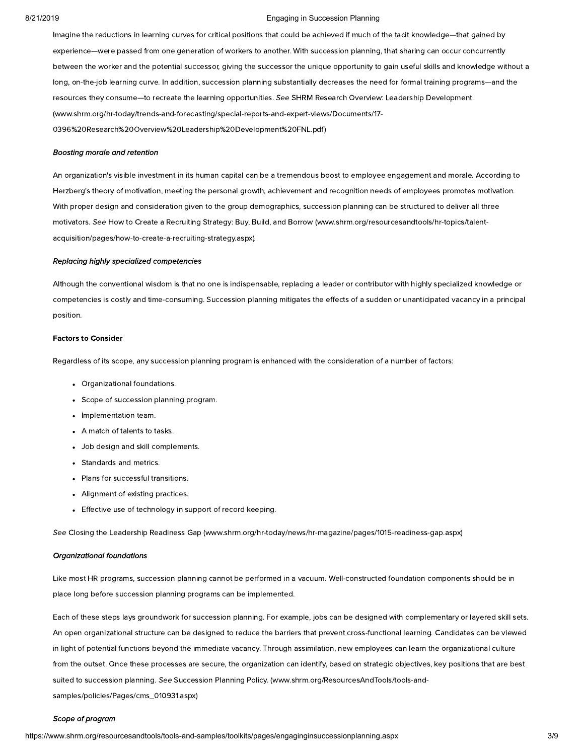Imagine the reductions in learning curves for critical positions that could be achieved if much of the tacit knowledge—that gained by experience—were passed from one generation of workers to another. With succession planning, that sharing can occur concurrently between the worker and the potential successor, giving the successor the unique opportunity to gain useful skills and knowledge without a long, on-the-job learning curve. In addition, succession planning substantially decreases the need for formal training programs—and the resources they consume—to recreate the learning opportunities. See SHRM Research Overview: Leadership Development. [\(www.shrm.org/hr-today/trends-and-forecasting/special-reports-and-expert-views/Documents/17-](https://www.shrm.org/hr-today/trends-and-forecasting/special-reports-and-expert-views/Documents/17-0396%20Research%20Overview%20Leadership%20Development%20FNL.pdf) 0396%20Research%20Overview%20Leadership%20Development%20FNL.pdf)

#### Boosting morale and retention

An organization's visible investment in its human capital can be a tremendous boost to employee engagement and morale. According to Herzberg's theory of motivation, meeting the personal growth, achievement and recognition needs of employees promotes motivation. With proper design and consideration given to the group demographics, succession planning can be structured to deliver all three motivators. See How to Create a Recruiting Strategy: Buy, Build, and Borrow (www.shrm.org/resourcesandtools/hr-topics/talent[acquisition/pages/how-to-create-a-recruiting-strategy.aspx\).](https://www.shrm.org/resourcesandtools/hr-topics/talent-acquisition/pages/how-to-create-a-recruiting-strategy.aspx)

#### Replacing highly specialized competencies

Although the conventional wisdom is that no one is indispensable, replacing a leader or contributor with highly specialized knowledge or competencies is costly and time-consuming. Succession planning mitigates the effects of a sudden or unanticipated vacancy in a principal position.

#### Factors to Consider

Regardless of its scope, any succession planning program is enhanced with the consideration of a number of factors:

- Organizational foundations.
- Scope of succession planning program.
- Implementation team.
- A match of talents to tasks.
- Job design and skill complements.
- Standards and metrics.
- Plans for successful transitions.
- Alignment of existing practices.
- Effective use of technology in support of record keeping.

See Closing the Leadership Readiness Gap [\(www.shrm.org/hr-today/news/hr-magazine/pages/1015-readiness-gap.aspx\)](https://www.shrm.org/hr-today/news/hr-magazine/pages/1015-readiness-gap.aspx)

#### Organizational foundations

Like most HR programs, succession planning cannot be performed in a vacuum. Well-constructed foundation components should be in place long before succession planning programs can be implemented.

Each of these steps lays groundwork for succession planning. For example, jobs can be designed with complementary or layered skill sets. An open organizational structure can be designed to reduce the barriers that prevent cross-functional learning. Candidates can be viewed in light of potential functions beyond the immediate vacancy. Through assimilation, new employees can learn the organizational culture from the outset. Once these processes are secure, the organization can identify, based on strategic objectives, key positions that are best suited to succession planning. See Succession Planning Policy. [\(www.shrm.org/ResourcesAndTools/tools-and](https://www.shrm.org/ResourcesAndTools/tools-and-samples/policies/Pages/cms_010931.aspx)samples/policies/Pages/cms\_010931.aspx)

#### Scope of program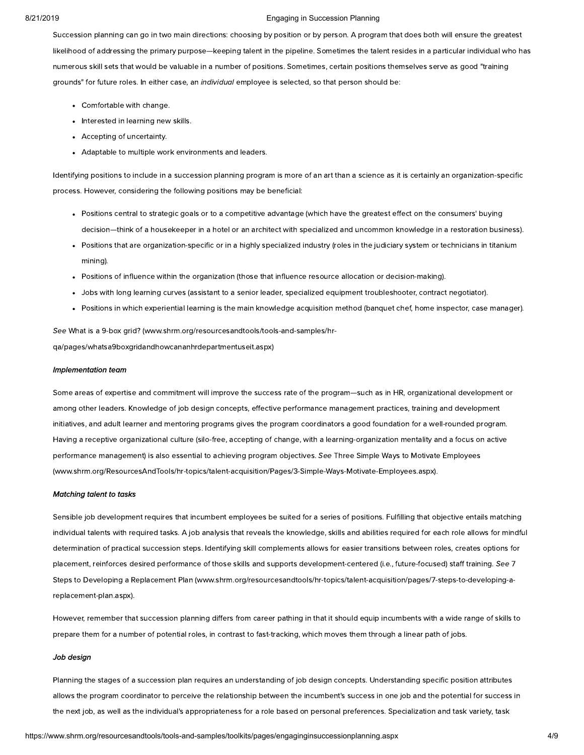Succession planning can go in two main directions: choosing by position or by person. A program that does both will ensure the greatest likelihood of addressing the primary purpose—keeping talent in the pipeline. Sometimes the talent resides in a particular individual who has numerous skill sets that would be valuable in a number of positions. Sometimes, certain positions themselves serve as good "training grounds" for future roles. In either case, an individual employee is selected, so that person should be:

- Comfortable with change.
- Interested in learning new skills.
- Accepting of uncertainty.
- Adaptable to multiple work environments and leaders.

Identifying positions to include in a succession planning program is more of an art than a science as it is certainly an organization-specific process. However, considering the following positions may be beneficial:

- Positions central to strategic goals or to a competitive advantage (which have the greatest effect on the consumers' buying decision—think of a housekeeper in a hotel or an architect with specialized and uncommon knowledge in a restoration business).
- Positions that are organization-specific or in a highly specialized industry (roles in the judiciary system or technicians in titanium mining).
- Positions of influence within the organization (those that influence resource allocation or decision-making).
- Jobs with long learning curves (assistant to a senior leader, specialized equipment troubleshooter, contract negotiator).
- Positions in which experiential learning is the main knowledge acquisition method (banquet chef, home inspector, case manager).

See What is a 9-box grid? (www.shrm.org/resourcesandtools/tools-and-samples/hr[qa/pages/whatsa9boxgridandhowcananhrdepartmentuseit.aspx\)](https://www.shrm.org/resourcesandtools/tools-and-samples/hr-qa/pages/whatsa9boxgridandhowcananhrdepartmentuseit.aspx)

#### Implementation team

Some areas of expertise and commitment will improve the success rate of the program—such as in HR, organizational development or among other leaders. Knowledge of job design concepts, effective performance management practices, training and development initiatives, and adult learner and mentoring programs gives the program coordinators a good foundation for a well-rounded program. Having a receptive organizational culture (silo-free, accepting of change, with a learning-organization mentality and a focus on active performance management) is also essential to achieving program objectives. See Three Simple Ways to Motivate Employees [\(www.shrm.org/ResourcesAndTools/hr-topics/talent-acquisition/Pages/3-Simple-Ways-Motivate-Employees.aspx\).](https://www.shrm.org/ResourcesAndTools/hr-topics/talent-acquisition/Pages/3-Simple-Ways-Motivate-Employees.aspx)

#### Matching talent to tasks

Sensible job development requires that incumbent employees be suited for a series of positions. Fulfilling that objective entails matching individual talents with required tasks. A job analysis that reveals the knowledge, skills and abilities required for each role allows for mindful determination of practical succession steps. Identifying skill complements allows for easier transitions between roles, creates options for placement, reinforces desired performance of those skills and supports development-centered (i.e., future-focused) staff training. See 7 Steps to Developing a Replacement Plan [\(www.shrm.org/resourcesandtools/hr-topics/talent-acquisition/pages/7-steps-to-developing-a](https://www.shrm.org/resourcesandtools/hr-topics/talent-acquisition/pages/7-steps-to-developing-a-replacement-plan.aspx)replacement-plan.aspx).

However, remember that succession planning differs from career pathing in that it should equip incumbents with a wide range of skills to prepare them for a number of potential roles, in contrast to fast-tracking, which moves them through a linear path of jobs.

#### Job design

Planning the stages of a succession plan requires an understanding of job design concepts. Understanding specific position attributes allows the program coordinator to perceive the relationship between the incumbent's success in one job and the potential for success in the next job, as well as the individual's appropriateness for a role based on personal preferences. Specialization and task variety, task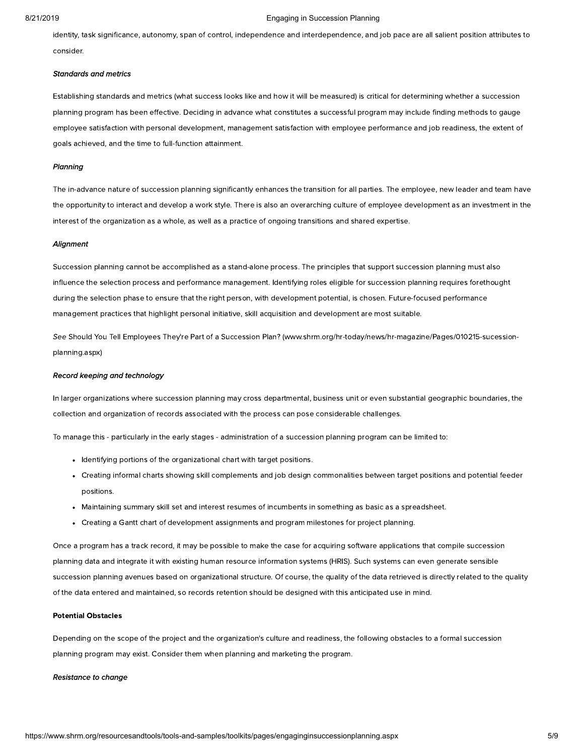identity, task significance, autonomy, span of control, independence and interdependence, and job pace are all salient position attributes to consider.

#### Standards and metrics

Establishing standards and metrics (what success looks like and how it will be measured) is critical for determining whether a succession planning program has been effective. Deciding in advance what constitutes a successful program may include finding methods to gauge employee satisfaction with personal development, management satisfaction with employee performance and job readiness, the extent of goals achieved, and the time to full-function attainment.

#### **Planning**

The in-advance nature of succession planning significantly enhances the transition for all parties. The employee, new leader and team have the opportunity to interact and develop a work style. There is also an overarching culture of employee development as an investment in the interest of the organization as a whole, as well as a practice of ongoing transitions and shared expertise.

#### **Alignment**

Succession planning cannot be accomplished as a stand-alone process. The principles that support succession planning must also influence the selection process and performance management. Identifying roles eligible for succession planning requires forethought during the selection phase to ensure that the right person, with development potential, is chosen. Future-focused performance management practices that highlight personal initiative, skill acquisition and development are most suitable.

See Should You Tell Employees They're Part of a Succession Plan? [\(www.shrm.org/hr-today/news/hr-magazine/Pages/010215-sucession](https://www.shrm.org/hr-today/news/hr-magazine/Pages/010215-sucession-planning.aspx)planning.aspx)

#### Record keeping and technology

In larger organizations where succession planning may cross departmental, business unit or even substantial geographic boundaries, the collection and organization of records associated with the process can pose considerable challenges.

To manage this - particularly in the early stages - administration of a succession planning program can be limited to:

- Identifying portions of the organizational chart with target positions.
- Creating informal charts showing skill complements and job design commonalities between target positions and potential feeder positions.
- Maintaining summary skill set and interest resumes of incumbents in something as basic as a spreadsheet.
- Creating a Gantt chart of development assignments and program milestones for project planning.

Once a program has a track record, it may be possible to make the case for acquiring software applications that compile succession planning data and integrate it with existing human resource information systems (HRIS). Such systems can even generate sensible succession planning avenues based on organizational structure. Of course, the quality of the data retrieved is directly related to the quality of the data entered and maintained, so records retention should be designed with this anticipated use in mind.

#### Potential Obstacles

Depending on the scope of the project and the organization's culture and readiness, the following obstacles to a formal succession planning program may exist. Consider them when planning and marketing the program.

#### Resistance to change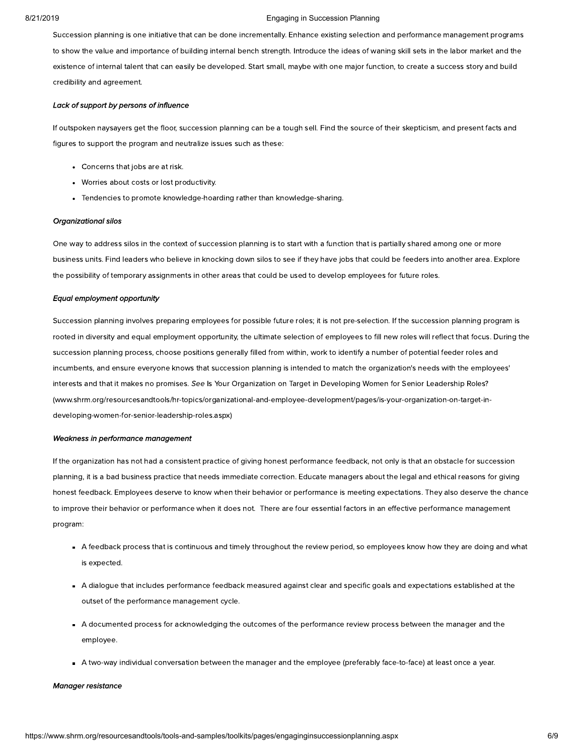Succession planning is one initiative that can be done incrementally. Enhance existing selection and performance management programs to show the value and importance of building internal bench strength. Introduce the ideas of waning skill sets in the labor market and the existence of internal talent that can easily be developed. Start small, maybe with one major function, to create a success story and build credibility and agreement.

#### Lack of support by persons of influence

If outspoken naysayers get the floor, succession planning can be a tough sell. Find the source of their skepticism, and present facts and figures to support the program and neutralize issues such as these:

- Concerns that jobs are at risk.
- Worries about costs or lost productivity.
- Tendencies to promote knowledge-hoarding rather than knowledge-sharing.

#### Organizational silos

One way to address silos in the context of succession planning is to start with a function that is partially shared among one or more business units. Find leaders who believe in knocking down silos to see if they have jobs that could be feeders into another area. Explore the possibility of temporary assignments in other areas that could be used to develop employees for future roles.

#### Equal employment opportunity

Succession planning involves preparing employees for possible future roles; it is not pre-selection. If the succession planning program is rooted in diversity and equal employment opportunity, the ultimate selection of employees to fill new roles will reflect that focus. During the succession planning process, choose positions generally filled from within, work to identify a number of potential feeder roles and incumbents, and ensure everyone knows that succession planning is intended to match the organization's needs with the employees' interests and that it makes no promises. See Is Your Organization on Target in Developing Women for Senior Leadership Roles? [\(www.shrm.org/resourcesandtools/hr-topics/organizational-and-employee-development/pages/is-your-organization-on-target-in](https://www.shrm.org/resourcesandtools/hr-topics/organizational-and-employee-development/pages/is-your-organization-on-target-in-developing-women-for-senior-leadership-roles.aspx)developing-women-for-senior-leadership-roles.aspx)

#### Weakness in performance management

If the organization has not had a consistent practice of giving honest performance feedback, not only is that an obstacle for succession planning, it is a bad business practice that needs immediate correction. Educate managers about the legal and ethical reasons for giving honest feedback. Employees deserve to know when their behavior or performance is meeting expectations. They also deserve the chance to improve their behavior or performance when it does not. There are four essential factors in an effective performance management program:

- A feedback process that is continuous and timely throughout the review period, so employees know how they are doing and what is expected.
- A dialogue that includes performance feedback measured against clear and specific goals and expectations established at the outset of the performance management cycle.
- A documented process for acknowledging the outcomes of the performance review process between the manager and the employee.
- A two-way individual conversation between the manager and the employee (preferably face-to-face) at least once a year.

#### Manager resistance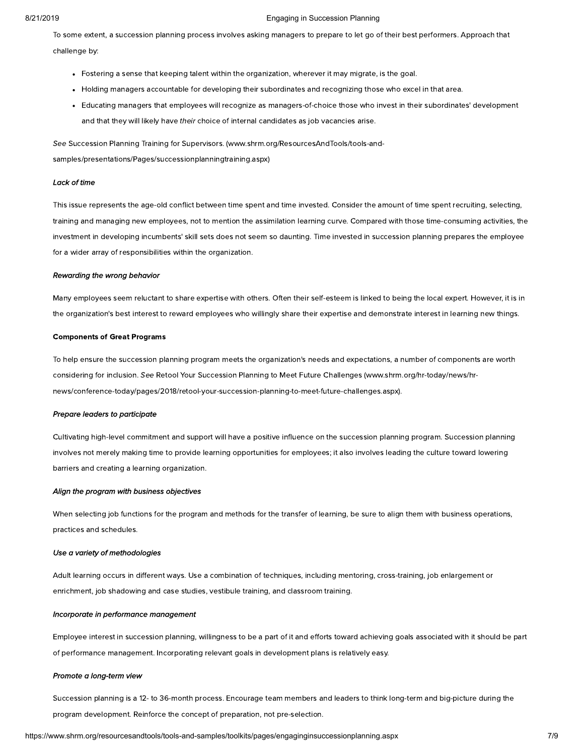To some extent, a succession planning process involves asking managers to prepare to let go of their best performers. Approach that challenge by:

- Fostering a sense that keeping talent within the organization, wherever it may migrate, is the goal.
- Holding managers accountable for developing their subordinates and recognizing those who excel in that area.
- Educating managers that employees will recognize as managers-of-choice those who invest in their subordinates' development and that they will likely have their choice of internal candidates as job vacancies arise.

See Succession Planning Training for Supervisors. (www.shrm.org/ResourcesAndTools/tools-and[samples/presentations/Pages/successionplanningtraining.aspx\)](https://www.shrm.org/ResourcesAndTools/tools-and-samples/presentations/Pages/successionplanningtraining.aspx)

#### Lack of time

This issue represents the age-old conflict between time spent and time invested. Consider the amount of time spent recruiting, selecting, training and managing new employees, not to mention the assimilation learning curve. Compared with those time-consuming activities, the investment in developing incumbents' skill sets does not seem so daunting. Time invested in succession planning prepares the employee for a wider array of responsibilities within the organization.

#### Rewarding the wrong behavior

Many employees seem reluctant to share expertise with others. Often their self-esteem is linked to being the local expert. However, it is in the organization's best interest to reward employees who willingly share their expertise and demonstrate interest in learning new things.

#### Components of Great Programs

To help ensure the succession planning program meets the organization's needs and expectations, a number of components are worth considering for inclusion. See Retool Your Succession Planning to Meet Future Challenges (www.shrm.org/hr-today/news/hr[news/conference-today/pages/2018/retool-your-succession-planning-to-meet-future-challenges.aspx\).](https://www.shrm.org/hr-today/news/hr-news/conference-today/pages/2018/retool-your-succession-planning-to-meet-future-challenges.aspx)

#### Prepare leaders to participate

Cultivating high-level commitment and support will have a positive influence on the succession planning program. Succession planning involves not merely making time to provide learning opportunities for employees; it also involves leading the culture toward lowering barriers and creating a learning organization.

#### Align the program with business objectives

When selecting job functions for the program and methods for the transfer of learning, be sure to align them with business operations, practices and schedules.

#### Use a variety of methodologies

Adult learning occurs in different ways. Use a combination of techniques, including mentoring, cross-training, job enlargement or enrichment, job shadowing and case studies, vestibule training, and classroom training.

#### Incorporate in performance management

Employee interest in succession planning, willingness to be a part of it and efforts toward achieving goals associated with it should be part of performance management. Incorporating relevant goals in development plans is relatively easy.

#### Promote a long-term view

Succession planning is a 12- to 36-month process. Encourage team members and leaders to think long-term and big-picture during the program development. Reinforce the concept of preparation, not pre-selection.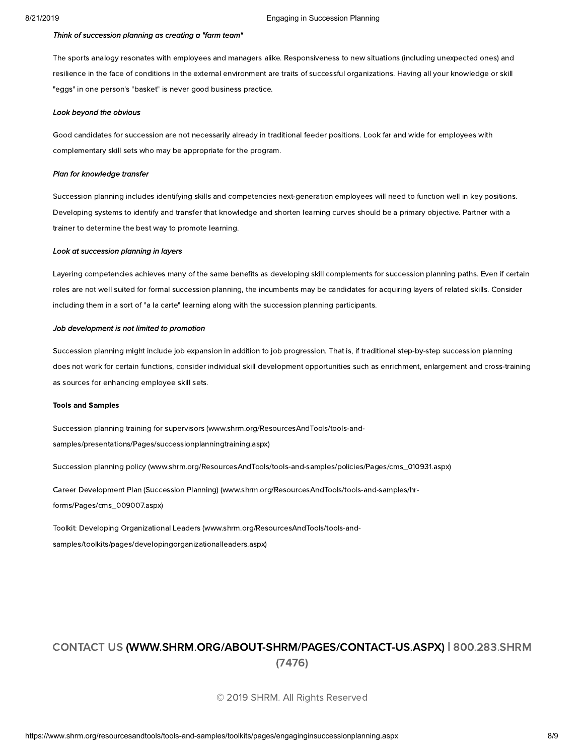#### Think of succession planning as creating a "farm team"

The sports analogy resonates with employees and managers alike. Responsiveness to new situations (including unexpected ones) and resilience in the face of conditions in the external environment are traits of successful organizations. Having all your knowledge or skill "eggs" in one person's "basket" is never good business practice.

#### Look beyond the obvious

Good candidates for succession are not necessarily already in traditional feeder positions. Look far and wide for employees with complementary skill sets who may be appropriate for the program.

#### Plan for knowledge transfer

Succession planning includes identifying skills and competencies next-generation employees will need to function well in key positions. Developing systems to identify and transfer that knowledge and shorten learning curves should be a primary objective. Partner with a trainer to determine the best way to promote learning.

#### Look at succession planning in layers

Layering competencies achieves many of the same benefits as developing skill complements for succession planning paths. Even if certain roles are not well suited for formal succession planning, the incumbents may be candidates for acquiring layers of related skills. Consider including them in a sort of "a la carte" learning along with the succession planning participants.

#### Job development is not limited to promotion

Succession planning might include job expansion in addition to job progression. That is, if traditional step-by-step succession planning does not work for certain functions, consider individual skill development opportunities such as enrichment, enlargement and cross-training as sources for enhancing employee skill sets.

#### Tools and Samples

Succession planning training for supervisors (www.shrm.org/ResourcesAndTools/tools-and[samples/presentations/Pages/successionplanningtraining.aspx\)](https://www.shrm.org/ResourcesAndTools/tools-and-samples/presentations/Pages/successionplanningtraining.aspx)

Succession planning policy [\(www.shrm.org/ResourcesAndTools/tools-and-samples/policies/Pages/cms\\_010931.aspx\)](https://www.shrm.org/ResourcesAndTools/tools-and-samples/policies/Pages/cms_010931.aspx)

Career Development Plan (Succession Planning) [\(www.shrm.org/ResourcesAndTools/tools-and-samples/hr](https://www.shrm.org/ResourcesAndTools/tools-and-samples/hr-forms/Pages/cms_009007.aspx)forms/Pages/cms\_009007.aspx)

Toolkit: Developing Organizational Leaders (www.shrm.org/ResourcesAndTools/tools-and[samples/toolkits/pages/developingorganizationalleaders.aspx\)](https://www.shrm.org/ResourcesAndTools/tools-and-samples/toolkits/pages/developingorganizationalleaders.aspx)

## CONTACT US [\(WWW.SHRM.ORG/ABOUT-SHRM/PAGES/CONTACT-US.ASPX](https://www.shrm.org/about-shrm/Pages/Contact-Us.aspx)[\)](tel:800.283.SHRM%20(7476)) | 800.283.SHRM (7476)

© 2019 SHRM. All Rights Reserved